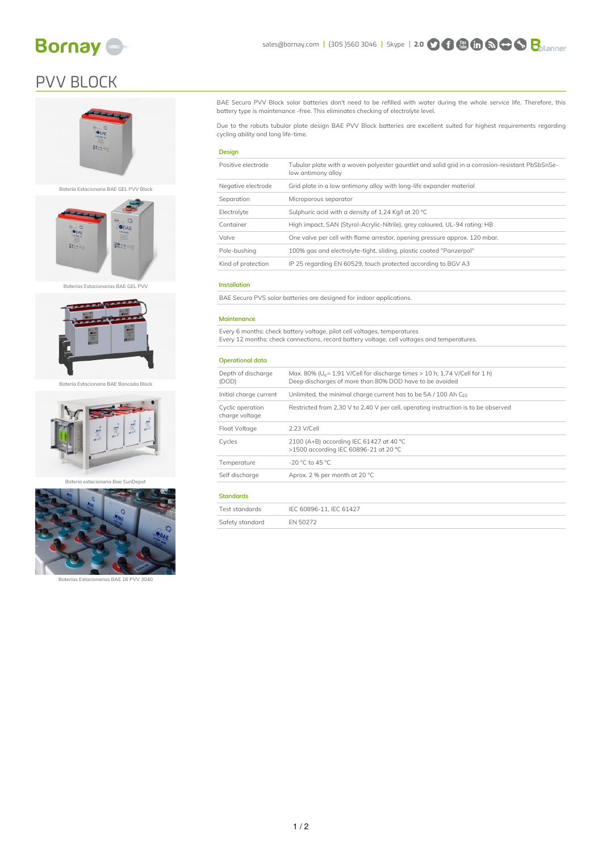

# PVV BLOCK





Batería Estacionaria BAE Bancada Block



Bateria estacionaria Bae SunDepot



Baterías Estacionarias BAE 16 PVV 3040

BAE Secura PVV Block solar batteries don't need to be refilled with water during the whole service life. Therefore, this battery type is maintenance -free. This eliminates checking of electrolyte level.

Due to the robuts tubular plate design BAE PVV Block batteries are excellent suited for highest requirements regarding cycling ability and long life-time.

### Design

| Positive electrode | Tubular plate with a woven polyester gauntlet and solid grid in a corrosion-resistant PbSbSnSe-<br>low antimony alloy |
|--------------------|-----------------------------------------------------------------------------------------------------------------------|
| Negative electrode | Grid plate in a low antimony alloy with long-life expander material                                                   |
| Separation         | Microporous separator                                                                                                 |
| Electrolyte        | Sulphuric acid with a density of 1,24 Kg/l at 20 °C                                                                   |
| Container          | High impact, SAN (Styrol-Acrylic-Nitrile), grey coloured, UL-94 rating: HB                                            |
| Valve              | One valve per cell with flame arrestor, opening pressure approx. 120 mbar.                                            |
| Pole-bushing       | 100% gas and electrolyte-tight, sliding, plastic coated "Panzerpol"                                                   |
| Kind of protection | IP 25 regarding EN 60529, touch protected according to BGV A3                                                         |
|                    |                                                                                                                       |

### Installation

BAE Secura PVS solar batteries are designed for indoor applications.

#### Maintenance

Every 6 months: check battery voltage, pilot cell voltages, temperatures Every 12 months: check connections, record battery voltage, cell voltages and temperatures.

#### Operational data

| Depth of discharge<br>(DOD)        | Max. 80% ( $U_e$ = 1,91 V/Cell for discharge times > 10 h; 1,74 V/Cell for 1 h)<br>Deep discharges of more than 80% DOD have to be avoided |  |  |  |  |  |  |
|------------------------------------|--------------------------------------------------------------------------------------------------------------------------------------------|--|--|--|--|--|--|
| Initial charge current             | Unlimited, the minimal charge current has to be $5A/100$ Ah $C_{10}$                                                                       |  |  |  |  |  |  |
| Cyclic operation<br>charge voltage | Restricted from 2,30 V to 2,40 V per cell, operating instruction is to be observed                                                         |  |  |  |  |  |  |
| Float Voltage                      | 2.23 V/Cell                                                                                                                                |  |  |  |  |  |  |
| Cycles                             | 2100 (A+B) according IEC 61427 at 40 °C<br>>1500 according IEC 60896-21 at 20 °C                                                           |  |  |  |  |  |  |
| Temperature                        | -20 °C to 45 °C                                                                                                                            |  |  |  |  |  |  |
| Self discharge                     | Aprox. 2 % per month at 20 °C                                                                                                              |  |  |  |  |  |  |
| <b>Standards</b>                   |                                                                                                                                            |  |  |  |  |  |  |
| Test standards                     | IEC 60896-11. IEC 61427                                                                                                                    |  |  |  |  |  |  |

| <b>ICAL ACALIMALAS</b> | $ICC$ 00000 II, $ICC$ 01+2, |
|------------------------|-----------------------------|
| Safety standard        | EN 50272                    |
|                        |                             |
|                        |                             |